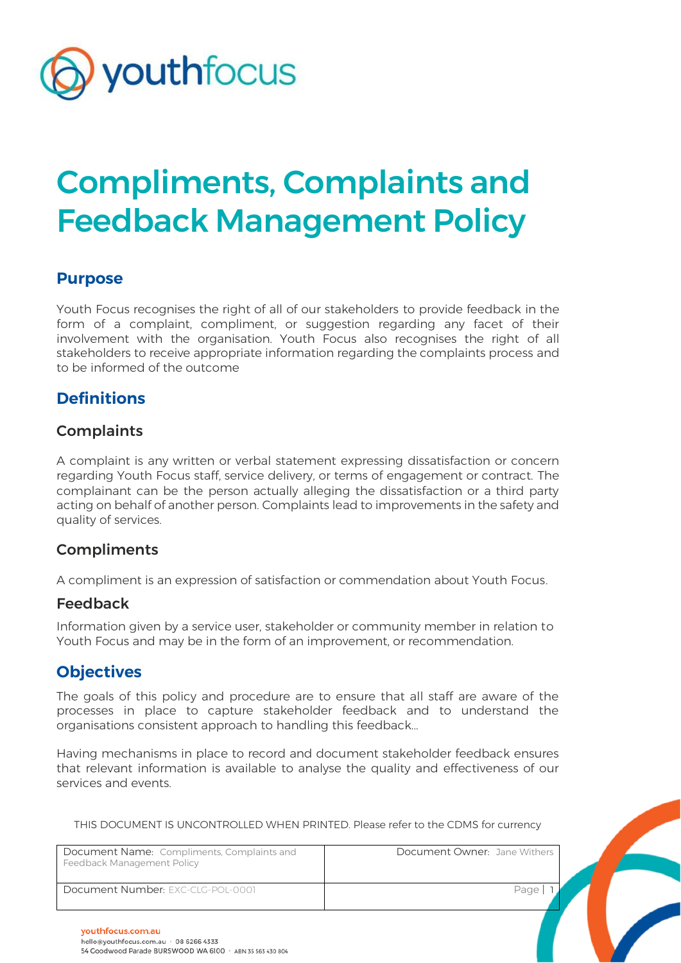

# Compliments, Complaints and Feedback Management Policy

## **Purpose**

Youth Focus recognises the right of all of our stakeholders to provide feedback in the form of a complaint, compliment, or suggestion regarding any facet of their involvement with the organisation. Youth Focus also recognises the right of all stakeholders to receive appropriate information regarding the complaints process and to be informed of the outcome

## **Definitions**

#### **Complaints**

A complaint is any written or verbal statement expressing dissatisfaction or concern regarding Youth Focus staff, service delivery, or terms of engagement or contract. The complainant can be the person actually alleging the dissatisfaction or a third party acting on behalf of another person. Complaints lead to improvements in the safety and quality of services.

#### **Compliments**

A compliment is an expression of satisfaction or commendation about Youth Focus.

#### Feedback

Information given by a service user, stakeholder or community member in relation to Youth Focus and may be in the form of an improvement, or recommendation.

#### **Objectives**

The goals of this policy and procedure are to ensure that all staff are aware of the processes in place to capture stakeholder feedback and to understand the organisations consistent approach to handling this feedback...

Having mechanisms in place to record and document stakeholder feedback ensures that relevant information is available to analyse the quality and effectiveness of our services and events.

| Document Name: Compliments, Complaints and<br>Feedback Management Policy | Document Owner: Jane Withers |  |
|--------------------------------------------------------------------------|------------------------------|--|
| Document Number: EXC-CLG-POL-0001                                        | Page                         |  |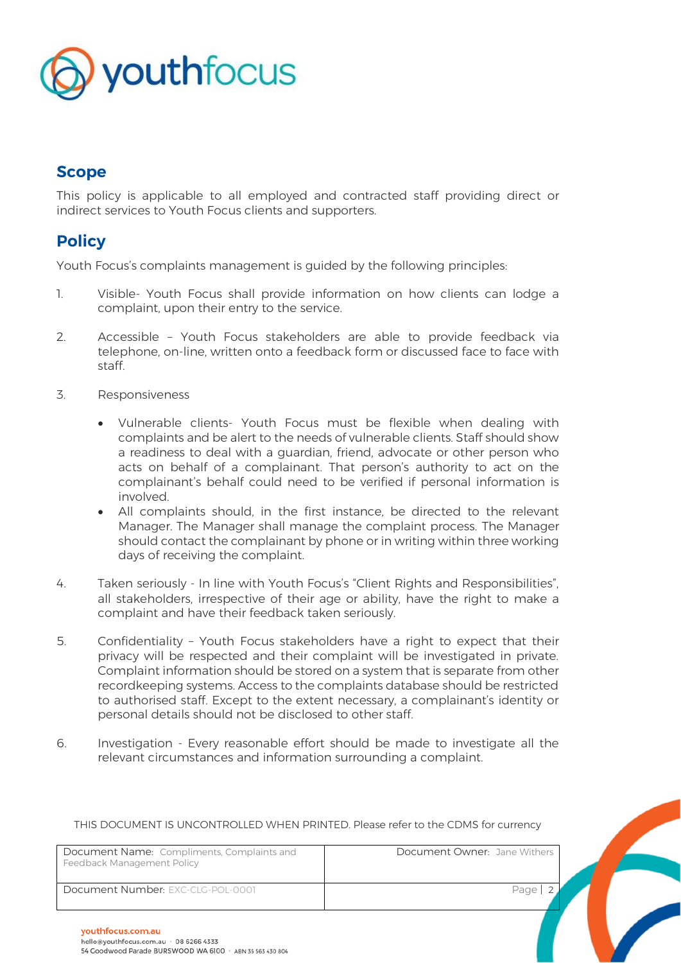

## **Scope**

This policy is applicable to all employed and contracted staff providing direct or indirect services to Youth Focus clients and supporters.

## **Policy**

Youth Focus's complaints management is guided by the following principles:

- 1. Visible- Youth Focus shall provide information on how clients can lodge a complaint, upon their entry to the service.
- 2. Accessible Youth Focus stakeholders are able to provide feedback via telephone, on-line, written onto a feedback form or discussed face to face with staff.
- 3. Responsiveness
	- Vulnerable clients- Youth Focus must be flexible when dealing with complaints and be alert to the needs of vulnerable clients. Staff should show a readiness to deal with a guardian, friend, advocate or other person who acts on behalf of a complainant. That person's authority to act on the complainant's behalf could need to be verified if personal information is involved.
	- All complaints should, in the first instance, be directed to the relevant Manager. The Manager shall manage the complaint process. The Manager should contact the complainant by phone or in writing within three working days of receiving the complaint.
- 4. Taken seriously In line with Youth Focus's "Client Rights and Responsibilities", all stakeholders, irrespective of their age or ability, have the right to make a complaint and have their feedback taken seriously.
- 5. Confidentiality Youth Focus stakeholders have a right to expect that their privacy will be respected and their complaint will be investigated in private. Complaint information should be stored on a system that is separate from other recordkeeping systems. Access to the complaints database should be restricted to authorised staff. Except to the extent necessary, a complainant's identity or personal details should not be disclosed to other staff.
- 6. Investigation Every reasonable effort should be made to investigate all the relevant circumstances and information surrounding a complaint.

| Document Name: Compliments, Complaints and<br>Feedback Management Policy | Document Owner: Jane Withers |  |
|--------------------------------------------------------------------------|------------------------------|--|
| Document Number: EXC-CLG-POL-0001                                        | Page                         |  |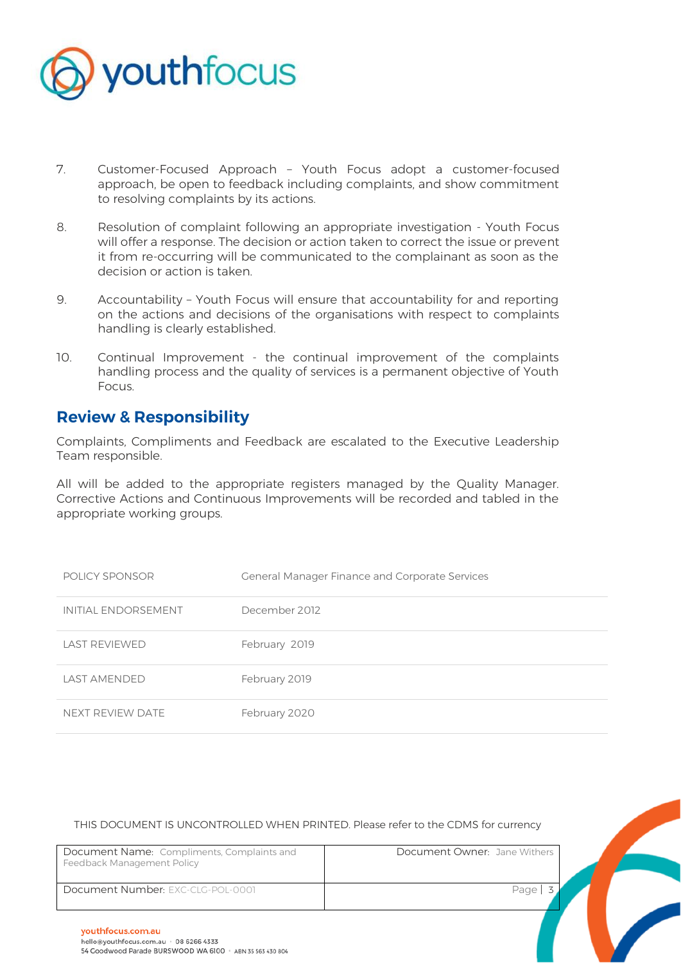

- 7. Customer-Focused Approach Youth Focus adopt a customer-focused approach, be open to feedback including complaints, and show commitment to resolving complaints by its actions.
- 8. Resolution of complaint following an appropriate investigation Youth Focus will offer a response. The decision or action taken to correct the issue or prevent it from re-occurring will be communicated to the complainant as soon as the decision or action is taken.
- 9. Accountability Youth Focus will ensure that accountability for and reporting on the actions and decisions of the organisations with respect to complaints handling is clearly established.
- 10. Continual Improvement the continual improvement of the complaints handling process and the quality of services is a permanent objective of Youth Focus.

### **Review & Responsibility**

Complaints, Compliments and Feedback are escalated to the Executive Leadership Team responsible.

All will be added to the appropriate registers managed by the Quality Manager. Corrective Actions and Continuous Improvements will be recorded and tabled in the appropriate working groups.

| POLICY SPONSOR      | <b>General Manager Finance and Corporate Services</b> |
|---------------------|-------------------------------------------------------|
| INITIAL ENDORSEMENT | December 2012                                         |
| LAST REVIEWED       | February 2019                                         |
| LAST AMENDED        | February 2019                                         |
| NEXT REVIEW DATE    | February 2020                                         |

| Document Name: Compliments, Complaints and<br>Feedback Management Policy | Document Owner: Jane Withers |  |
|--------------------------------------------------------------------------|------------------------------|--|
| Document Number: EXC-CLG-POL-0001                                        | Page                         |  |